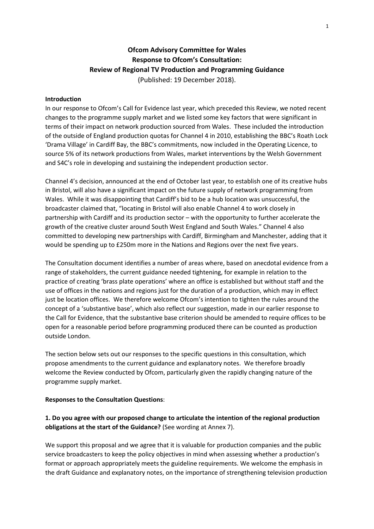# **Ofcom Advisory Committee for Wales Response to Ofcom's Consultation: Review of Regional TV Production and Programming Guidance** (Published: 19 December 2018).

#### **Introduction**

In our response to Ofcom's Call for Evidence last year, which preceded this Review, we noted recent changes to the programme supply market and we listed some key factors that were significant in terms of their impact on network production sourced from Wales. These included the introduction of the outside of England production quotas for Channel 4 in 2010, establishing the BBC's Roath Lock 'Drama Village' in Cardiff Bay, the BBC's commitments, now included in the Operating Licence, to source 5% of its network productions from Wales, market interventions by the Welsh Government and S4C's role in developing and sustaining the independent production sector.

Channel 4's decision, announced at the end of October last year, to establish one of its creative hubs in Bristol, will also have a significant impact on the future supply of network programming from Wales. While it was disappointing that Cardiff's bid to be a hub location was unsuccessful, the broadcaster claimed that, "locating in Bristol will also enable Channel 4 to work closely in partnership with Cardiff and its production sector – with the opportunity to further accelerate the growth of the creative cluster around South West England and South Wales." Channel 4 also committed to developing new partnerships with Cardiff, Birmingham and Manchester, adding that it would be spending up to £250m more in the Nations and Regions over the next five years.

The Consultation document identifies a number of areas where, based on anecdotal evidence from a range of stakeholders, the current guidance needed tightening, for example in relation to the practice of creating 'brass plate operations' where an office is established but without staff and the use of offices in the nations and regions just for the duration of a production, which may in effect just be location offices. We therefore welcome Ofcom's intention to tighten the rules around the concept of a 'substantive base', which also reflect our suggestion, made in our earlier response to the Call for Evidence, that the substantive base criterion should be amended to require offices to be open for a reasonable period before programming produced there can be counted as production outside London.

The section below sets out our responses to the specific questions in this consultation, which propose amendments to the current guidance and explanatory notes. We therefore broadly welcome the Review conducted by Ofcom, particularly given the rapidly changing nature of the programme supply market.

#### **Responses to the Consultation Questions**:

## **1. Do you agree with our proposed change to articulate the intention of the regional production obligations at the start of the Guidance?** (See wording at Annex 7).

We support this proposal and we agree that it is valuable for production companies and the public service broadcasters to keep the policy objectives in mind when assessing whether a production's format or approach appropriately meets the guideline requirements. We welcome the emphasis in the draft Guidance and explanatory notes, on the importance of strengthening television production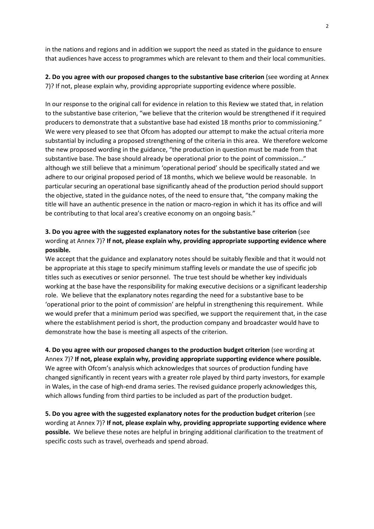in the nations and regions and in addition we support the need as stated in the guidance to ensure that audiences have access to programmes which are relevant to them and their local communities.

### **2. Do you agree with our proposed changes to the substantive base criterion** (see wording at Annex 7)? If not, please explain why, providing appropriate supporting evidence where possible.

In our response to the original call for evidence in relation to this Review we stated that, in relation to the substantive base criterion, "we believe that the criterion would be strengthened if it required producers to demonstrate that a substantive base had existed 18 months prior to commissioning." We were very pleased to see that Ofcom has adopted our attempt to make the actual criteria more substantial by including a proposed strengthening of the criteria in this area. We therefore welcome the new proposed wording in the guidance, "the production in question must be made from that substantive base. The base should already be operational prior to the point of commission…" although we still believe that a minimum 'operational period' should be specifically stated and we adhere to our original proposed period of 18 months, which we believe would be reasonable. In particular securing an operational base significantly ahead of the production period should support the objective, stated in the guidance notes, of the need to ensure that, "the company making the title will have an authentic presence in the nation or macro-region in which it has its office and will be contributing to that local area's creative economy on an ongoing basis."

## **3. Do you agree with the suggested explanatory notes for the substantive base criterion** (see wording at Annex 7)? **If not, please explain why, providing appropriate supporting evidence where possible.**

We accept that the guidance and explanatory notes should be suitably flexible and that it would not be appropriate at this stage to specify minimum staffing levels or mandate the use of specific job titles such as executives or senior personnel. The true test should be whether key individuals working at the base have the responsibility for making executive decisions or a significant leadership role. We believe that the explanatory notes regarding the need for a substantive base to be 'operational prior to the point of commission' are helpful in strengthening this requirement. While we would prefer that a minimum period was specified, we support the requirement that, in the case where the establishment period is short, the production company and broadcaster would have to demonstrate how the base is meeting all aspects of the criterion.

**4. Do you agree with our proposed changes to the production budget criterion** (see wording at Annex 7)? **If not, please explain why, providing appropriate supporting evidence where possible.** We agree with Ofcom's analysis which acknowledges that sources of production funding have changed significantly in recent years with a greater role played by third party investors, for example in Wales, in the case of high-end drama series. The revised guidance properly acknowledges this, which allows funding from third parties to be included as part of the production budget.

**5. Do you agree with the suggested explanatory notes for the production budget criterion** (see wording at Annex 7)? **If not, please explain why, providing appropriate supporting evidence where possible.** We believe these notes are helpful in bringing additional clarification to the treatment of specific costs such as travel, overheads and spend abroad.